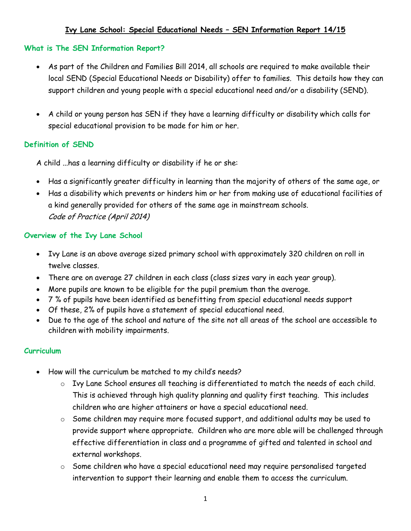# **Ivy Lane School: Special Educational Needs – SEN Information Report 14/15**

#### **What is The SEN Information Report?**

- As part of the Children and Families Bill 2014, all schools are required to make available their local SEND (Special Educational Needs or Disability) offer to families. This details how they can support children and young people with a special educational need and/or a disability (SEND).
- A child or young person has SEN if they have a learning difficulty or disability which calls for special educational provision to be made for him or her.

### **Definition of SEND**

A child ...has a learning difficulty or disability if he or she:

- Has a significantly greater difficulty in learning than the majority of others of the same age, or
- Has a disability which prevents or hinders him or her from making use of educational facilities of a kind generally provided for others of the same age in mainstream schools. Code of Practice (April 2014)

#### **Overview of the Ivy Lane School**

- Ivy Lane is an above average sized primary school with approximately 320 children on roll in twelve classes.
- There are on average 27 children in each class (class sizes vary in each year group).
- More pupils are known to be eligible for the pupil premium than the average.
- 7 % of pupils have been identified as benefitting from special educational needs support
- Of these, 2% of pupils have a statement of special educational need.
- Due to the age of the school and nature of the site not all areas of the school are accessible to children with mobility impairments.

#### **Curriculum**

- How will the curriculum be matched to my child's needs?
	- o Ivy Lane School ensures all teaching is differentiated to match the needs of each child. This is achieved through high quality planning and quality first teaching. This includes children who are higher attainers or have a special educational need.
	- o Some children may require more focused support, and additional adults may be used to provide support where appropriate. Children who are more able will be challenged through effective differentiation in class and a programme of gifted and talented in school and external workshops.
	- o Some children who have a special educational need may require personalised targeted intervention to support their learning and enable them to access the curriculum.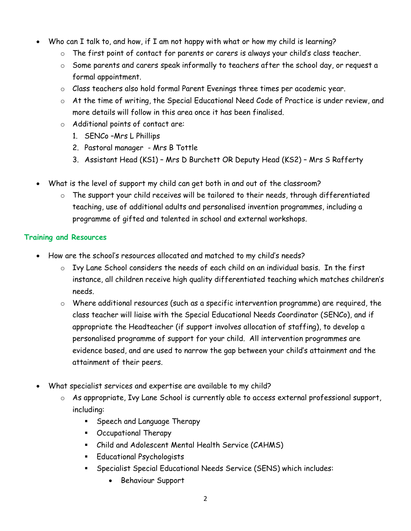- Who can I talk to, and how, if I am not happy with what or how my child is learning?
	- o The first point of contact for parents or carers is always your child's class teacher.
	- o Some parents and carers speak informally to teachers after the school day, or request a formal appointment.
	- o Class teachers also hold formal Parent Evenings three times per academic year.
	- o At the time of writing, the Special Educational Need Code of Practice is under review, and more details will follow in this area once it has been finalised.
	- o Additional points of contact are:
		- 1. SENCo –Mrs L Phillips
		- 2. Pastoral manager Mrs B Tottle
		- 3. Assistant Head (KS1) Mrs D Burchett OR Deputy Head (KS2) Mrs S Rafferty
- What is the level of support my child can get both in and out of the classroom?
	- o The support your child receives will be tailored to their needs, through differentiated teaching, use of additional adults and personalised invention programmes, including a programme of gifted and talented in school and external workshops.

## **Training and Resources**

- How are the school's resources allocated and matched to my child's needs?
	- o Ivy Lane School considers the needs of each child on an individual basis. In the first instance, all children receive high quality differentiated teaching which matches children's needs.
	- o Where additional resources (such as a specific intervention programme) are required, the class teacher will liaise with the Special Educational Needs Coordinator (SENCo), and if appropriate the Headteacher (if support involves allocation of staffing), to develop a personalised programme of support for your child. All intervention programmes are evidence based, and are used to narrow the gap between your child's attainment and the attainment of their peers.
- What specialist services and expertise are available to my child?
	- o As appropriate, Ivy Lane School is currently able to access external professional support, including:
		- **Speech and Language Therapy**
		- Occupational Therapy
		- Child and Adolescent Mental Health Service (CAHMS)
		- **Educational Psychologists**
		- Specialist Special Educational Needs Service (SENS) which includes:
			- Behaviour Support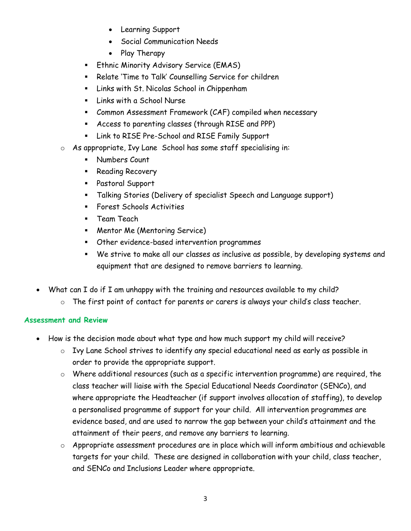- Learning Support
- Social Communication Needs
- Play Therapy
- **Ethnic Minority Advisory Service (EMAS)**
- **Relate 'Time to Talk' Counselling Service for children**
- **E.** Links with St. Nicolas School in Chippenham
- **Earth** a School Nurse
- Common Assessment Framework (CAF) compiled when necessary
- Access to parenting classes (through RISE and PPP)
- Link to RISE Pre-School and RISE Family Support
- o As appropriate, Ivy Lane School has some staff specialising in:
	- **Numbers Count**
	- **Reading Recovery**
	- Pastoral Support
	- Talking Stories (Delivery of specialist Speech and Language support)
	- **Forest Schools Activities**
	- **Team Teach**
	- **Mentor Me (Mentoring Service)**
	- Other evidence-based intervention programmes
	- We strive to make all our classes as inclusive as possible, by developing systems and equipment that are designed to remove barriers to learning.
- What can I do if I am unhappy with the training and resources available to my child?
	- o The first point of contact for parents or carers is always your child's class teacher.

## **Assessment and Review**

- How is the decision made about what type and how much support my child will receive?
	- o Ivy Lane School strives to identify any special educational need as early as possible in order to provide the appropriate support.
	- o Where additional resources (such as a specific intervention programme) are required, the class teacher will liaise with the Special Educational Needs Coordinator (SENCo), and where appropriate the Headteacher (if support involves allocation of staffing), to develop a personalised programme of support for your child. All intervention programmes are evidence based, and are used to narrow the gap between your child's attainment and the attainment of their peers, and remove any barriers to learning.
	- o Appropriate assessment procedures are in place which will inform ambitious and achievable targets for your child. These are designed in collaboration with your child, class teacher, and SENCo and Inclusions Leader where appropriate.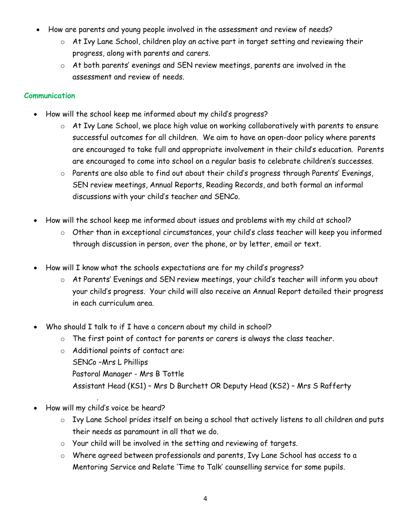- How are parents and young people involved in the assessment and review of needs?
	- o At Ivy Lane School, children play an active part in target setting and reviewing their progress, along with parents and carers.
	- $\circ$  At both parents' evenings and SEN review meetings, parents are involved in the assessment and review of needs.

# **Communication**

- How will the school keep me informed about my child's progress?
	- o At Ivy Lane School, we place high value on working collaboratively with parents to ensure successful outcomes for all children. We aim to have an open-door policy where parents are encouraged to take full and appropriate involvement in their child's education. Parents are encouraged to come into school on a regular basis to celebrate children's successes.
	- o Parents are also able to find out about their child's progress through Parents' Evenings, SEN review meetings, Annual Reports, Reading Records, and both formal an informal discussions with your child's teacher and SENCo.
- How will the school keep me informed about issues and problems with my child at school?
	- o Other than in exceptional circumstances, your child's class teacher will keep you informed through discussion in person, over the phone, or by letter, email or text.
- How will I know what the schools expectations are for my child's progress?
	- o At Parents' Evenings and SEN review meetings, your child's teacher will inform you about your child's progress. Your child will also receive an Annual Report detailed their progress in each curriculum area.
- Who should I talk to if I have a concern about my child in school?
	- o The first point of contact for parents or carers is always the class teacher.
	- o Additional points of contact are: SENCo –Mrs L Phillips Pastoral Manager - Mrs B Tottle Assistant Head (KS1) – Mrs D Burchett OR Deputy Head (KS2) – Mrs S Rafferty
- . How will my child's voice be heard?
	- o Ivy Lane School prides itself on being a school that actively listens to all children and puts their needs as paramount in all that we do.
	- o Your child will be involved in the setting and reviewing of targets.
	- o Where agreed between professionals and parents, Ivy Lane School has access to a Mentoring Service and Relate 'Time to Talk' counselling service for some pupils.